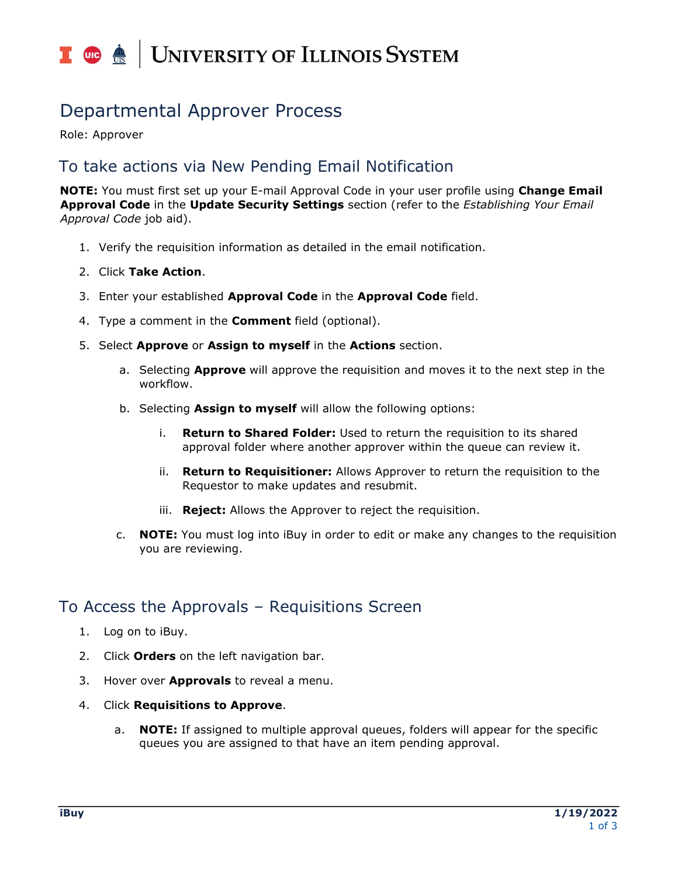# I **O**  $\triangle$  UNIVERSITY OF ILLINOIS SYSTEM

## Departmental Approver Process

Role: Approver

#### To take actions via New Pending Email Notification

**NOTE:** You must first set up your E-mail Approval Code in your user profile using **Change Email Approval Code** in the **Update Security Settings** section (refer to the *Establishing Your Email Approval Code* job aid).

- 1. Verify the requisition information as detailed in the email notification.
- 2. Click **Take Action**.
- 3. Enter your established **Approval Code** in the **Approval Code** field.
- 4. Type a comment in the **Comment** field (optional).
- 5. Select **Approve** or **Assign to myself** in the **Actions** section.
	- a. Selecting **Approve** will approve the requisition and moves it to the next step in the workflow.
	- b. Selecting **Assign to myself** will allow the following options:
		- i. **Return to Shared Folder:** Used to return the requisition to its shared approval folder where another approver within the queue can review it.
		- ii. **Return to Requisitioner:** Allows Approver to return the requisition to the Requestor to make updates and resubmit.
		- iii. **Reject:** Allows the Approver to reject the requisition.
	- c. **NOTE:** You must log into iBuy in order to edit or make any changes to the requisition you are reviewing.

#### To Access the Approvals – Requisitions Screen

- 1. Log on to iBuy.
- 2. Click **Orders** on the left navigation bar.
- 3. Hover over **Approvals** to reveal a menu.
- 4. Click **Requisitions to Approve**.
	- a. **NOTE:** If assigned to multiple approval queues, folders will appear for the specific queues you are assigned to that have an item pending approval.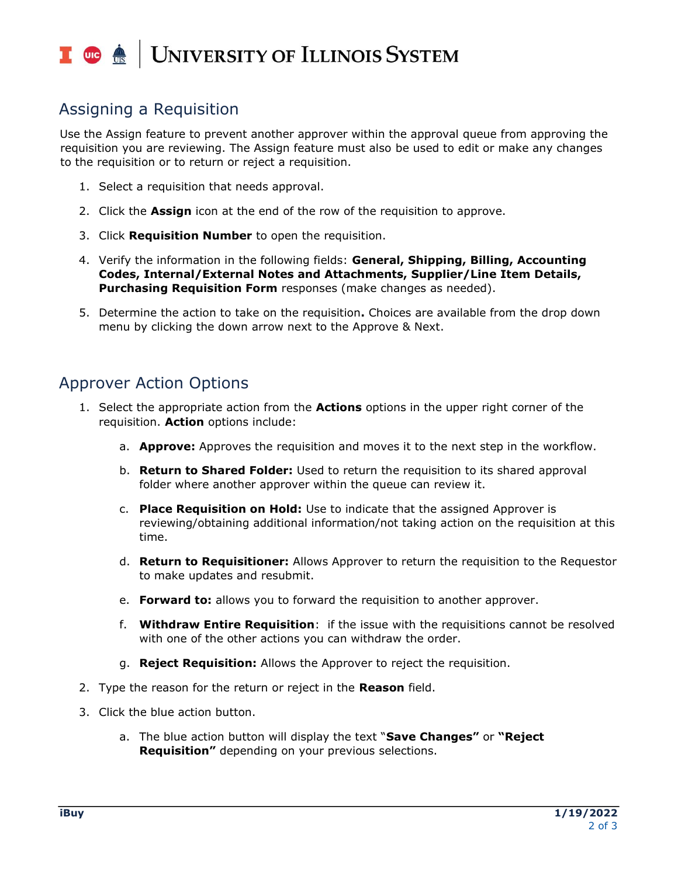# I **O**  $\triangle$  UNIVERSITY OF ILLINOIS SYSTEM

### Assigning a Requisition

Use the Assign feature to prevent another approver within the approval queue from approving the requisition you are reviewing. The Assign feature must also be used to edit or make any changes to the requisition or to return or reject a requisition.

- 1. Select a requisition that needs approval.
- 2. Click the **Assign** icon at the end of the row of the requisition to approve.
- 3. Click **Requisition Number** to open the requisition.
- 4. Verify the information in the following fields: **General, Shipping, Billing, Accounting Codes, Internal/External Notes and Attachments, Supplier/Line Item Details, Purchasing Requisition Form** responses (make changes as needed).
- 5. Determine the action to take on the requisition**.** Choices are available from the drop down menu by clicking the down arrow next to the Approve & Next.

#### Approver Action Options

- 1. Select the appropriate action from the **Actions** options in the upper right corner of the requisition. **Action** options include:
	- a. **Approve:** Approves the requisition and moves it to the next step in the workflow.
	- b. **Return to Shared Folder:** Used to return the requisition to its shared approval folder where another approver within the queue can review it.
	- c. **Place Requisition on Hold:** Use to indicate that the assigned Approver is reviewing/obtaining additional information/not taking action on the requisition at this time.
	- d. **Return to Requisitioner:** Allows Approver to return the requisition to the Requestor to make updates and resubmit.
	- e. **Forward to:** allows you to forward the requisition to another approver.
	- f. **Withdraw Entire Requisition**: if the issue with the requisitions cannot be resolved with one of the other actions you can withdraw the order.
	- g. **Reject Requisition:** Allows the Approver to reject the requisition.
- 2. Type the reason for the return or reject in the **Reason** field.
- 3. Click the blue action button.
	- a. The blue action button will display the text "**Save Changes"** or **"Reject Requisition"** depending on your previous selections.